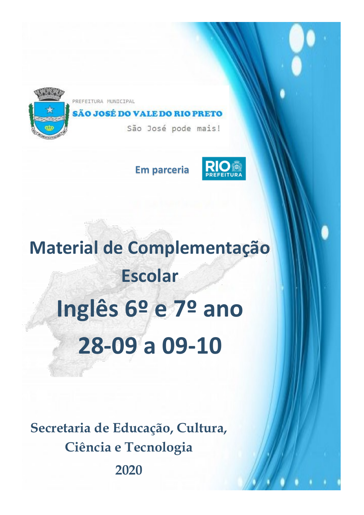

PREFEITURA MUNICIPAL

# SÃO JOSÉ DO VALE DO RIO PRETO

São José pode mais!

**Em parceria**



# **Material de Complementação Escolar Inglês 6º e 7º ano 28-09 a 09-10**

**Secretaria de Educação, Cultura, Ciência e Tecnologia 2020**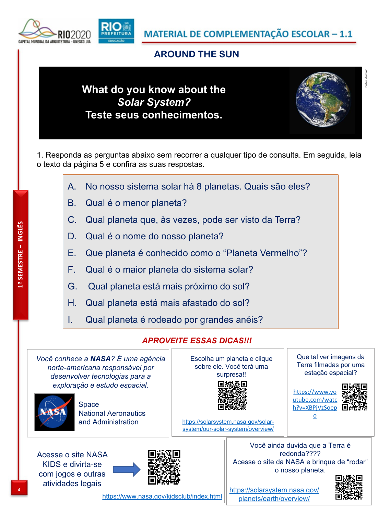MATERIAL DE COMPLEMENTAÇÃO ESCOLAR - 1.1

### **AROUND THE SUN**

# **What do you know about the** *Solar System?* **Teste seus conhecimentos.**



Public domain

1. Responda as perguntas abaixo sem recorrer a qualquer tipo de consulta. Em seguida, leia o texto da página 5 e confira as suas respostas.

- A. No nosso sistema solar há 8 planetas. Quais são eles?
- B. Qual é o menor planeta?
- C. Qual planeta que, às vezes, pode ser visto da Terra?
- D. Qual é o nome do nosso planeta?
- E. Que planeta é conhecido como o "Planeta Vermelho"?
- F. Qual é o maior planeta do sistema solar?
- G. Qual planeta está mais próximo do sol?
- H. Qual planeta está mais afastado do sol?
- I. Qual planeta é rodeado por grandes anéis?

#### *APROVEITE ESSAS DICAS!!!*

*Você conhece a NASA? É uma agência norte-americana responsável por desenvolver tecnologias para a exploração e estudo espacial.*



**Space** National Aeronautics and Administration

Acesse o site NASA KIDS e divirta-se

com jogos e outras atividades legais



https://www.nasa.gov/kidsclub/index.html

Escolha um planeta e clique sobre ele. Você terá uma surpresa!!



https://solarsystem.nasa.gov/solarsystem/our-solar-system/overview/ Que tal ver imagens da Terra filmadas por uma estação espacial?



o

Você ainda duvida que a Terra é redonda???? Acesse o site da NASA e brinque de "rodar" o nosso planeta.



MINDIAL BA ARQUITETURA

4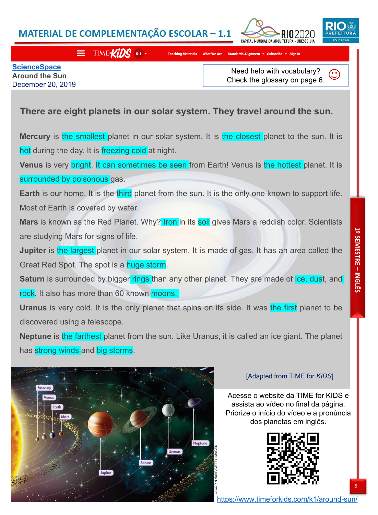## MATERIAL DE COMPLEMENTAÇÃO ESCOLAR - 1.1





#### $\equiv$  TIME KIDS

What We Are Stand

**ScienceSpace Around the Sun** December 20, 2019

Need help with vocabulary?  $\odot$ Check the glossary on page 6.

## **There are eight planets in our solar system. They travel around the sun.**

**Mercury** is the smallest planet in our solar system. It is the closest planet to the sun. It is hot during the day. It is freezing cold at night.

**Venus** is very bright. It can sometimes be seen from Earth! Venus is the hottest planet. It is surrounded by poisonous gas.

**Earth** is our home. It is the third planet from the sun. It is the only one known to support life. Most of Earth is covered by water.

Mars is known as the Red Planet. Why? Iron in its soil gives Mars a reddish color. Scientists are studying Mars for signs of life.

**Jupiter** is the largest planet in our solar system. It is made of gas. It has an area called the Great Red Spot. The spot is a huge storm.

**Saturn** is surrounded by bigger rings than any other planet. They are made of ice, dust, and rock. It also has more than 60 known moons.

**Uranus** is very cold. It is the only planet that spins on its side. It was the first planet to be discovered using a telescope.

**Neptune** is the farthest planet from the sun. Like Uranus, it is called an ice giant. The planet has strong winds and big storms.



#### [Adapted from TIME for *KIDS*]

Acesse o website da TIME for KIDS e assista ao vídeo no final da página. Priorize o início do vídeo e a pronúncia dos planetas em inglês.



5